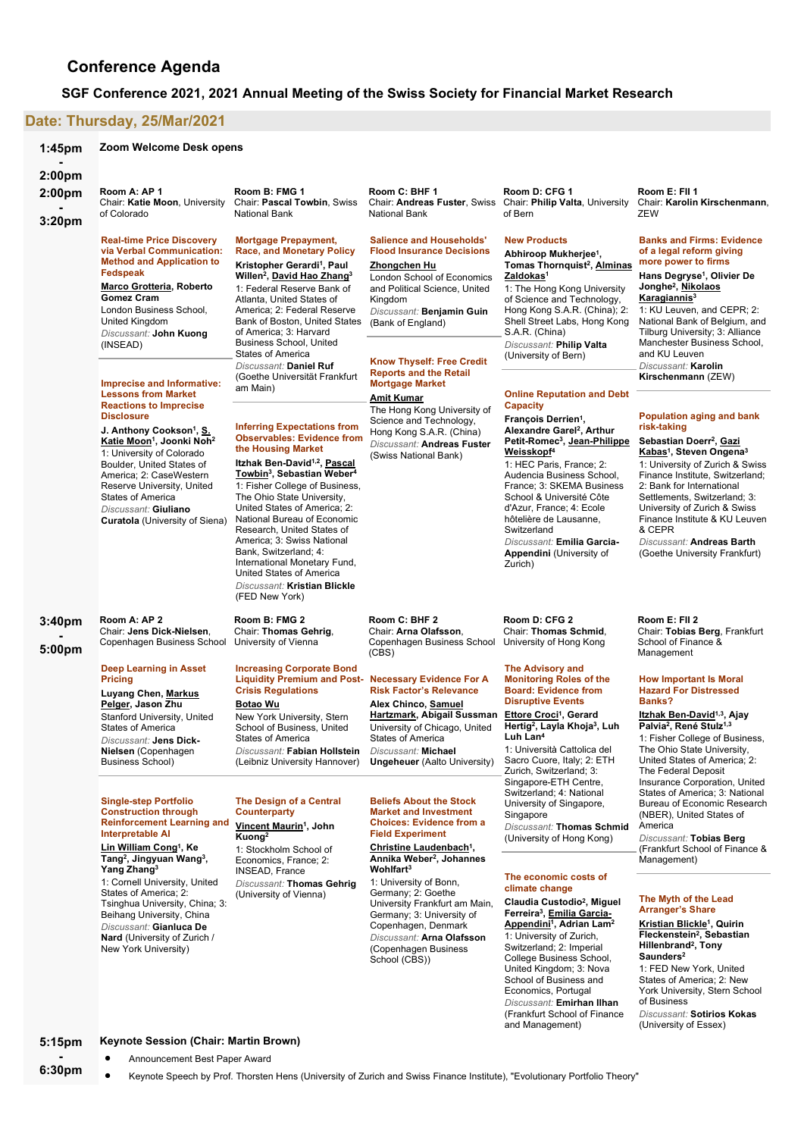# **Conference Agenda**

# **SGF Conference 2021, 2021 Annual Meeting of the Swiss Society for Financial Market Research**

# **Date: Thursday, [25/Mar/2021](http://www.conftool.net/sgf2021/index.php?page=browseSessions&print=doc&form_date=2021-03-25&presentations=show)**

| 1:45 <sub>pm</sub>         | Zoom Welcome Desk opens                                                                                                                                                                                                                                                                                                                                                                       |                                                                                                                                                                                                                                                                                                                                                                                                                                                                                                                                               |                                                                                                                                                                                                                                                                                                                |                                                                                                                                                                                                                                                                                                                                                                                                                                                                    |                                                                                                                                                                                                                                                                                                                                                                                                                |
|----------------------------|-----------------------------------------------------------------------------------------------------------------------------------------------------------------------------------------------------------------------------------------------------------------------------------------------------------------------------------------------------------------------------------------------|-----------------------------------------------------------------------------------------------------------------------------------------------------------------------------------------------------------------------------------------------------------------------------------------------------------------------------------------------------------------------------------------------------------------------------------------------------------------------------------------------------------------------------------------------|----------------------------------------------------------------------------------------------------------------------------------------------------------------------------------------------------------------------------------------------------------------------------------------------------------------|--------------------------------------------------------------------------------------------------------------------------------------------------------------------------------------------------------------------------------------------------------------------------------------------------------------------------------------------------------------------------------------------------------------------------------------------------------------------|----------------------------------------------------------------------------------------------------------------------------------------------------------------------------------------------------------------------------------------------------------------------------------------------------------------------------------------------------------------------------------------------------------------|
| 2:00pm<br>2:00pm<br>3:20pm | Room A: AP 1<br>Chair: Katie Moon, University<br>of Colorado                                                                                                                                                                                                                                                                                                                                  | Room B: FMG 1<br>Chair: Pascal Towbin, Swiss<br>National Bank                                                                                                                                                                                                                                                                                                                                                                                                                                                                                 | Room C: BHF 1<br><b>National Bank</b>                                                                                                                                                                                                                                                                          | Room D: CFG 1<br>Chair: Andreas Fuster, Swiss Chair: Philip Valta, University<br>of Bern                                                                                                                                                                                                                                                                                                                                                                           | Room E: Fil 1<br>Chair: Karolin Kirschenmann,<br>ZEW                                                                                                                                                                                                                                                                                                                                                           |
|                            | <b>Real-time Price Discovery</b><br>via Verbal Communication:<br><b>Method and Application to</b><br>Fedspeak<br>Marco Grotteria, Roberto<br><b>Gomez Cram</b><br>London Business School,<br>United Kingdom<br>Discussant: John Kuong<br>(INSEAD)<br>Imprecise and Informative:                                                                                                               | <b>Mortgage Prepayment,</b><br><b>Race, and Monetary Policy</b><br>Kristopher Gerardi <sup>1</sup> , Paul<br>Willen <sup>2</sup> , David Hao Zhang <sup>3</sup><br>1: Federal Reserve Bank of<br>Atlanta. United States of<br>America: 2: Federal Reserve<br>Bank of Boston, United States<br>of America; 3: Harvard<br><b>Business School, United</b><br><b>States of America</b><br>Discussant: Daniel Ruf<br>(Goethe Universität Frankfurt                                                                                                 | <b>Salience and Households'</b><br><b>Flood Insurance Decisions</b><br>Zhongchen Hu<br>London School of Economics<br>and Political Science, United<br>Kingdom<br>Discussant: Benjamin Guin<br>(Bank of England)<br><b>Know Thyself: Free Credit</b><br><b>Reports and the Retail</b><br><b>Mortgage Market</b> | <b>New Products</b><br>Abhiroop Mukherjee <sup>1</sup> ,<br>Tomas Thornquist <sup>2</sup> , Alminas<br>Zaldokas <sup>1</sup><br>1: The Hong Kong University<br>of Science and Technology,<br>Hong Kong S.A.R. (China); 2:<br>Shell Street Labs, Hong Kong<br>S.A.R. (China)<br>Discussant: Philip Valta<br>(University of Bern)                                                                                                                                    | <b>Banks and Firms: Evidence</b><br>of a legal reform giving<br>more power to firms<br>Hans Degryse <sup>1</sup> , Olivier De<br>Jonghe <sup>2</sup> , Nikolaos<br>Karagiannis <sup>3</sup><br>1: KU Leuven, and CEPR; 2:<br>National Bank of Belgium, and<br>Tilburg University; 3: Alliance<br>Manchester Business School,<br>and KU Leuven<br>Discussant: Karolin<br>Kirschenmann (ZEW)                     |
|                            | <b>Lessons from Market</b><br><b>Reactions to Imprecise</b><br><b>Disclosure</b><br>J. Anthony Cookson <sup>1</sup> , S.<br>Katie Moon <sup>1</sup> , Joonki Noh <sup>2</sup><br>1: University of Colorado<br>Boulder, United States of<br>America; 2: CaseWestern<br>Reserve University, United<br><b>States of America</b><br>Discussant: Giuliano<br><b>Curatola</b> (University of Siena) | am Main)<br><b>Inferring Expectations from</b><br><b>Observables: Evidence from</b><br>the Housing Market<br>Itzhak Ben-David <sup>1,2</sup> , Pascal<br>Towbin <sup>3</sup> , Sebastian Weber <sup>4</sup><br>1: Fisher College of Business,<br>The Ohio State University,<br>United States of America; 2:<br>National Bureau of Economic<br>Research, United States of<br>America; 3: Swiss National<br>Bank, Switzerland; 4:<br>International Monetary Fund,<br>United States of America<br>Discussant: Kristian Blickle<br>(FED New York) | Amit Kumar<br>The Hong Kong University of<br>Science and Technology,<br>Hong Kong S.A.R. (China)<br>Discussant: Andreas Fuster<br>(Swiss National Bank)                                                                                                                                                        | <b>Online Reputation and Debt</b><br>Capacity<br>François Derrien <sup>1</sup> ,<br>Alexandre Garel <sup>2</sup> , Arthur<br>Petit-Romec <sup>3</sup> , Jean-Philippe<br>Weisskopf <sup>4</sup><br>1: HEC Paris, France; 2:<br>Audencia Business School,<br>France; 3: SKEMA Business<br>School & Université Côte<br>d'Azur, France; 4: Ecole<br>hôtelière de Lausanne,<br>Switzerland<br>Discussant: Emilia Garcia-<br><b>Appendini</b> (University of<br>Zurich) | Population aging and bank<br>risk-taking<br>Sebastian Doerr <sup>2</sup> , Gazi<br>Kabas <sup>1</sup> , Steven Ongena <sup>3</sup><br>1: University of Zurich & Swiss<br>Finance Institute, Switzerland;<br>2: Bank for International<br>Settlements, Switzerland; 3:<br>University of Zurich & Swiss<br>Finance Institute & KU Leuven<br>& CEPR<br>Discussant: Andreas Barth<br>(Goethe University Frankfurt) |
| 3:40pm<br>5:00pm           | Room A: AP 2<br>Chair: Jens Dick-Nielsen,<br>Copenhagen Business School                                                                                                                                                                                                                                                                                                                       | Room B: FMG 2<br>Chair: Thomas Gehrig,<br>University of Vienna                                                                                                                                                                                                                                                                                                                                                                                                                                                                                | Room C: BHF 2<br>Chair: Arna Olafsson,<br>Copenhagen Business School<br>(CBS)                                                                                                                                                                                                                                  | Room D: CFG 2<br>Chair: Thomas Schmid,<br>University of Hong Kong                                                                                                                                                                                                                                                                                                                                                                                                  | Room E: FII 2<br>Chair: Tobias Berg, Frankfurt<br>School of Finance &<br>Management                                                                                                                                                                                                                                                                                                                            |
|                            | <b>Deep Learning in Asset</b><br><b>Pricing</b><br>Luyang Chen, Markus<br>Pelger, Jason Zhu<br>Stanford University, United<br><b>States of America</b><br>Discussant: Jens Dick-<br>Nielsen (Copenhagen<br>Business School)                                                                                                                                                                   | <b>Increasing Corporate Bond</b><br><b>Liquidity Premium and Post-</b><br><b>Crisis Regulations</b><br>Botao Wu<br>New York University, Stern<br>School of Business, United<br>States of America<br>Discussant: Fabian Hollstein<br>(Leibniz University Hannover)                                                                                                                                                                                                                                                                             | <b>Necessary Evidence For A</b><br><b>Risk Factor's Relevance</b><br>Alex Chinco, Samuel<br><u>Hartzmark</u> , Abigail Sussman<br>University of Chicago, United<br>States of America<br>Discussant: Michael<br><b>Ungeheuer</b> (Aalto University)                                                             | <b>The Advisory and</b><br><b>Monitoring Roles of the</b><br><b>Board: Evidence from</b><br><b>Disruptive Events</b><br>Ettore Croci <sup>1</sup> , Gerard<br>Hertig <sup>2</sup> , Layla Khoja <sup>3</sup> , Luh<br>Luh Lan <sup>4</sup><br>1: Università Cattolica del<br>Sacro Cuore, Italy; 2: ETH<br>Zurich, Switzerland; 3:<br>Singapore-ETH Centre,<br>Switzerland; 4: National                                                                            | <b>How Important Is Moral</b><br><b>Hazard For Distressed</b><br>Banks?<br>Itzhak Ben-David <sup>1,3</sup> , Ajay<br>Palvia <sup>2</sup> , René Stulz <sup>1,3</sup><br>1: Fisher College of Business,<br>The Ohio State University,<br>United States of America; 2:<br>The Federal Deposit<br>Insurance Corporation, United<br>States of America; 3: National                                                 |
|                            | <b>Single-step Portfolio</b><br><b>Construction through</b><br><b>Reinforcement Learning and</b><br>Interpretable AI<br>Lin William Cong <sup>1</sup> , Ke<br>Tang <sup>2</sup> , Jingyuan Wang <sup>3</sup> ,                                                                                                                                                                                | The Design of a Central<br>Counterparty<br>Vincent Maurin <sup>1</sup> , John<br>Kuong <sup>2</sup><br>1: Stockholm School of<br>Economics, France; 2:                                                                                                                                                                                                                                                                                                                                                                                        | <b>Beliefs About the Stock</b><br><b>Market and Investment</b><br><b>Choices: Evidence from a</b><br><b>Field Experiment</b><br>Christine Laudenbach <sup>1</sup> ,<br>Annika Weber <sup>2</sup> , Johannes                                                                                                    | University of Singapore,<br>Singapore<br>Discussant: Thomas Schmid<br>(University of Hong Kong)                                                                                                                                                                                                                                                                                                                                                                    | Bureau of Economic Research<br>(NBER), United States of<br>America<br>Discussant: Tobias Berg<br>(Frankfurt School of Finance &<br>Management)                                                                                                                                                                                                                                                                 |
|                            | Yang Zhang <sup>3</sup><br>1: Cornell University, United<br>States of America; 2:<br>Tsinghua University, China; 3:<br>Beihang University, China<br>Discussant: Gianluca De<br><b>Nard</b> (University of Zurich /<br>New York University)                                                                                                                                                    | INSEAD, France<br>Discussant: Thomas Gehrig<br>(University of Vienna)                                                                                                                                                                                                                                                                                                                                                                                                                                                                         | Wohlfart <sup>3</sup><br>1: University of Bonn,<br>Germany; 2: Goethe<br>University Frankfurt am Main,<br>Germany; 3: University of<br>Copenhagen, Denmark<br>Discussant: Arna Olafsson<br>(Copenhagen Business                                                                                                | The economic costs of<br>climate change<br>Claudia Custodio <sup>2</sup> , Miguel<br>Ferreira <sup>3</sup> , Emilia Garcia-<br>Appendini <sup>1</sup> , Adrian Lam <sup>2</sup><br>1: University of Zurich,<br>Switzerland; 2: Imperial                                                                                                                                                                                                                            | The Myth of the Lead<br><b>Arranger's Share</b><br>Kristian Blickle <sup>1</sup> , Quirin<br>Fleckenstein <sup>2</sup> , Sebastian<br>Hillenbrand <sup>2</sup> , Tony<br>$R$ oundere?                                                                                                                                                                                                                          |

**Hillenbrand2, Tony Saunders2** 1: FED New York, United States of America; 2: New York University, Stern School of Business *Discussant:* **Sotirios Kokas** (University of Essex)

College Business School, United Kingdom; 3: Nova School of Business and Economics, Portugal *Discussant:* **Emirhan Ilhan** (Frankfurt School of Finance and Management)

**5:15pm Keynote Session (Chair: Martin Brown)**

• Announcement Best Paper Award

**- 6:30pm**

• Keynote Speech by Prof. Thorsten Hens (University of Zurich and Swiss Finance Institute), "Evolutionary Portfolio Theory"

School (CBS))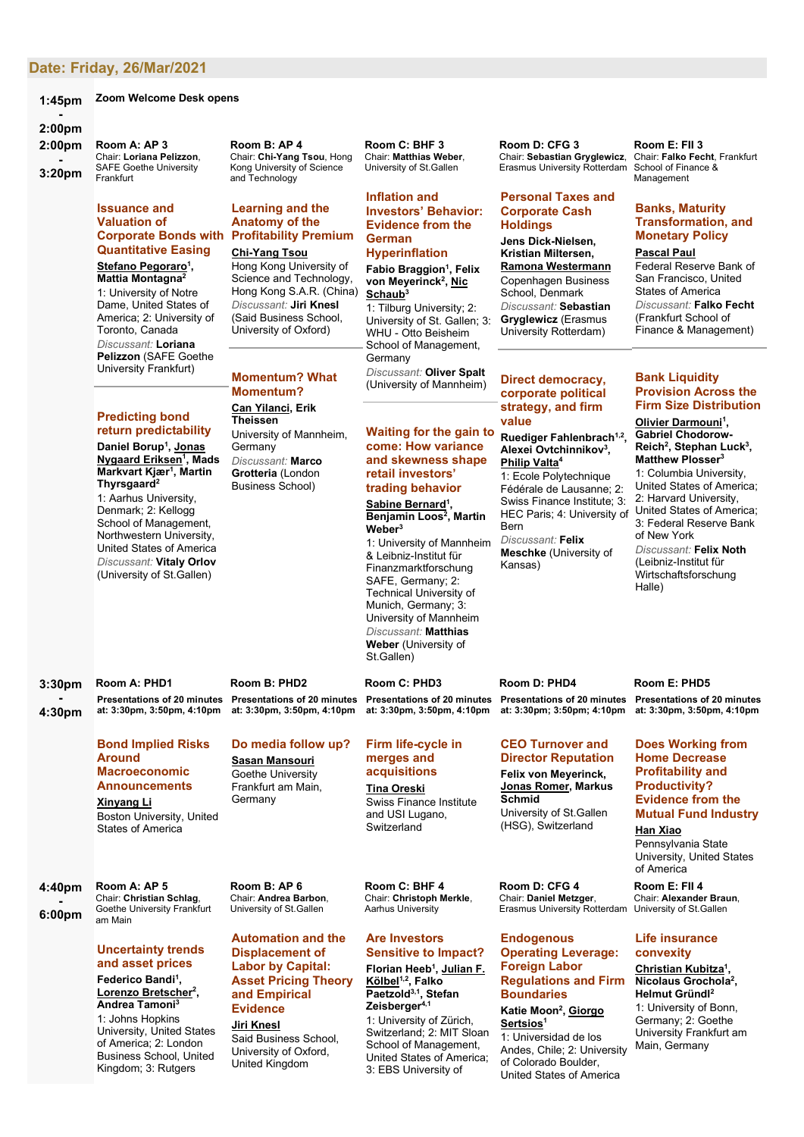# **Date: Friday, [26/Mar/2021](http://www.conftool.net/sgf2021/index.php?page=browseSessions&print=doc&form_date=2021-03-26&presentations=show)**

#### **1:45pm Zoom Welcome Desk opens**

### **- 2:00pm**

**2:00pm - 3:20pm Room A: AP 3** Chair: **Loriana Pelizzon**, SAFE Goethe University Frankfurt

# **Issuance and Valuation of Quantitative Easing**

**Stefano Pegoraro1 , Mattia Montagna2** 1: University of Notre Dame, United States of America; 2: University of Toronto, Canada *Discussant:* **Loriana Pelizzon** (SAFE Goethe University Frankfurt)

# **Predicting bond return predictability**

**Daniel Borup1 , Jonas Nygaard Eriksen1 , Mads Markvart Kjær1 , Martin Thyrsgaard2** 1: Aarhus University, Denmark; 2: Kellogg School of Management, Northwestern University, United States of America *Discussant:* **Vitaly Orlov** (University of St.Gallen)

**Room A: PHD1 Presentations of 20 minutes at: 3:30pm, 3:50pm, 4:10pm Room B: PHD2 Presentations of 20 minutes at: 3:30pm, 3:50pm, 4:10pm**

**- 4:30pm**

**3:30pm**

# **Bond Implied Risks Around Macroeconomic Announcements Xinyang Li**

Boston University, United States of America

**4:40pm -**

**6:00pm**

# **Uncertainty trends and asset prices**

**Room A: AP 5** Chair: **Christian Schlag**, Goethe University Frankfurt

am Main

**Federico Bandi1 , Lorenzo Bretscher2 , Andrea Tamoni3**

1: Johns Hopkins University, United States of America; 2: London Business School, United Kingdom; 3: Rutgers

### **Room B: AP 4** Chair: **Chi-Yang Tsou**, Hong Kong University of Science and Technology

# **Corporate Bonds with Profitability Premium Learning and the Anatomy of the**

# **Chi-Yang Tsou**

Hong Kong University of Science and Technology, Hong Kong S.A.R. (China) *Discussant:* **Jiri Knesl** (Said Business School, University of Oxford)

# **Momentum? What Momentum? Can Yilanci, Erik**

**Theissen** University of Mannheim, **Germany** *Discussant:* **Marco Grotteria** (London

Business School)

#### **Room C: BHF 3** Chair: **Matthias Weber**, University of St.Gallen

### **Inflation and Investors' Behavior: Evidence from the German**

# **Hyperinflation**

**Fabio Braggion1 , Felix**  von Meyerinck<sup>2</sup>, <u>Nic</u> **Schaub3** 1: Tilburg University; 2:

University of St. Gallen; 3: WHU - Otto Beisheim School of Management, Germany *Discussant:* **Oliver Spalt**

(University of Mannheim)

### **Waiting for the gain to come: How variance and skewness shape retail investors' trading behavior**

**Sabine Bernard1 , Benjamin Loos2 , Martin Weber3**

1: University of Mannheim & Leibniz-Institut für Finanzmarktforschung SAFE, Germany; 2: Technical University of Munich, Germany; 3: University of Mannheim *Discussant:* **Matthias Weber** (University of St.Gallen)

**Presentations of 20 minutes Room D: PHD4 Presentations of 20 minutes at: 3:30pm; 3:50pm; 4:10pm**

> **CEO Turnover and Director Reputation**

**Felix von Meyerinck, Jonas Romer, Markus Schmid** University of St.Gallen

(HSG), Switzerland

**Room D: CFG 4** Chair: **Daniel Metzger**, Erasmus University Rotterdam

# **Endogenous Operating Leverage: Foreign Labor**

**Regulations and Firm Boundaries**

**Katie Moon2 , Giorgo Sertsios1**

1: Universidad de los Andes, Chile; 2: University of Colorado Boulder, United States of America

#### **Room E: FII 3** Chair: **Falko Fecht**, Frankfurt School of Finance & Management

# **Banks, Maturity Transformation, and Monetary Policy**

## **Pascal Paul**

Federal Reserve Bank of San Francisco, United States of America *Discussant:* **Falko Fecht** (Frankfurt School of Finance & Management)

# **Bank Liquidity Provision Across the Firm Size Distribution**

**Olivier Darmouni<sup>1</sup>, Gabriel Chodorow-Reich2 , Stephan Luck3 , Matthew Plosser3** 1: Columbia University, United States of America; 2: Harvard University, United States of America; 3: Federal Reserve Bank of New York *Discussant:* **Felix Noth** (Leibniz-Institut für Wirtschaftsforschung Halle)

# **Room E: PHD5**

**Presentations of 20 minutes at: 3:30pm, 3:50pm, 4:10pm**

### **Does Working from Home Decrease Profitability and Productivity? Evidence from the Mutual Fund Industry**

**Han Xiao**

Pennsylvania State University, United States of America

**Room E: FII 4** Chair: **Alexander Braun**, University of St.Gallen

# **Life insurance convexity**

**Christian Kubitza1 , Nicolaus Grochola2 , Helmut Gründl2** 1: University of Bonn, Germany; 2: Goethe University Frankfurt am Main, Germany

**Room B: AP 6** Chair: **Andrea Barbon**, University of St.Gallen

# **Automation and the Displacement of Labor by Capital: Asset Pricing Theory and Empirical Evidence**

**Do media follow up? Sasan Mansouri** Goethe University Frankfurt am Main, Germany

**Jiri Knesl**

Said Business School, University of Oxford, United Kingdom

**at: 3:30pm, 3:50pm, 4:10pm**

**Room C: PHD3**

# **Firm life-cycle in merges and acquisitions**

**Tina Oreski** Swiss Finance Institute and USI Lugano, **Switzerland** 

**Room C: BHF 4** Chair: **Christoph Merkle**, Aarhus University

**Are Investors Sensitive to Impact?**

### **Florian Heeb1 , Julian F. Kölbel1,2, Falko Paetzold3,1, Stefan Zeisberger4,1** 1: University of Zürich, Switzerland; 2: MIT Sloan School of Management, United States of America;

3: EBS University of

**Ramona Westermann** Copenhagen Business School, Denmark *Discussant:* **Sebastian Gryglewicz** (Erasmus University Rotterdam)

**Room D: CFG 3** Chair: **Sebastian Gryglewicz**, Erasmus University Rotterdam

**Personal Taxes and Corporate Cash Holdings**

**Jens Dick-Nielsen, Kristian Miltersen,** 

# **Direct democracy, corporate political**

**strategy, and firm** 

### **value Ruediger Fahlenbrach1,2, Alexei Ovtchinnikov3 , Philip Valta4**

1: Ecole Polytechnique Fédérale de Lausanne; 2: Swiss Finance Institute: 3: HEC Paris; 4: University of Bern *Discussant:* **Felix Meschke** (University of

Kansas)